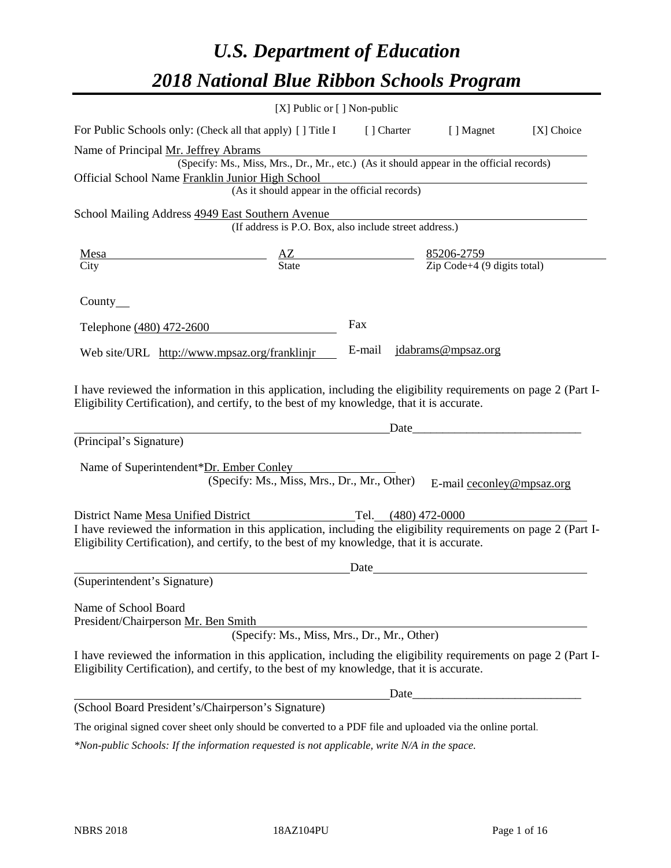# *U.S. Department of Education 2018 National Blue Ribbon Schools Program*

|                                                                                                                                                                                                              | [X] Public or [] Non-public                                                               |        |                     |                           |            |
|--------------------------------------------------------------------------------------------------------------------------------------------------------------------------------------------------------------|-------------------------------------------------------------------------------------------|--------|---------------------|---------------------------|------------|
| For Public Schools only: (Check all that apply) [] Title I [] Charter                                                                                                                                        |                                                                                           |        |                     | [ ] Magnet                | [X] Choice |
| Name of Principal Mr. Jeffrey Abrams                                                                                                                                                                         |                                                                                           |        |                     |                           |            |
|                                                                                                                                                                                                              | (Specify: Ms., Miss, Mrs., Dr., Mr., etc.) (As it should appear in the official records)  |        |                     |                           |            |
| Official School Name Franklin Junior High School                                                                                                                                                             | (As it should appear in the official records)                                             |        |                     |                           |            |
|                                                                                                                                                                                                              |                                                                                           |        |                     |                           |            |
| School Mailing Address 4949 East Southern Avenue                                                                                                                                                             | (If address is P.O. Box, also include street address.)                                    |        |                     |                           |            |
| <u>Mesa</u>                                                                                                                                                                                                  | $\frac{AZ}{\text{State}}$ $\frac{85206-2759}{\text{Zip Code}+4 (9 \text{ digits total})}$ |        |                     |                           |            |
| City                                                                                                                                                                                                         |                                                                                           |        |                     |                           |            |
| County $\_\_$                                                                                                                                                                                                |                                                                                           |        |                     |                           |            |
| Telephone (480) 472-2600                                                                                                                                                                                     |                                                                                           | Fax    |                     |                           |            |
| Web site/URL http://www.mpsaz.org/franklinjr                                                                                                                                                                 |                                                                                           | E-mail |                     | jdabrams@mpsaz.org        |            |
| Eligibility Certification), and certify, to the best of my knowledge, that it is accurate.<br>(Principal's Signature)                                                                                        |                                                                                           |        | Date                |                           |            |
| Name of Superintendent*Dr. Ember Conley                                                                                                                                                                      |                                                                                           |        |                     |                           |            |
|                                                                                                                                                                                                              | (Specify: Ms., Miss, Mrs., Dr., Mr., Other)                                               |        |                     | E-mail ceconley@mpsaz.org |            |
| District Name Mesa Unified District                                                                                                                                                                          |                                                                                           |        | Tel. (480) 472-0000 |                           |            |
| I have reviewed the information in this application, including the eligibility requirements on page 2 (Part I-<br>Eligibility Certification), and certify, to the best of my knowledge, that it is accurate. |                                                                                           |        |                     |                           |            |
|                                                                                                                                                                                                              |                                                                                           | Date   |                     |                           |            |
| (Superintendent's Signature)                                                                                                                                                                                 |                                                                                           |        |                     |                           |            |
| Name of School Board<br>President/Chairperson Mr. Ben Smith                                                                                                                                                  | (Specify: Ms., Miss, Mrs., Dr., Mr., Other)                                               |        |                     |                           |            |
|                                                                                                                                                                                                              |                                                                                           |        |                     |                           |            |
| I have reviewed the information in this application, including the eligibility requirements on page 2 (Part I-<br>Eligibility Certification), and certify, to the best of my knowledge, that it is accurate. |                                                                                           |        |                     |                           |            |
|                                                                                                                                                                                                              |                                                                                           |        | Date                |                           |            |
| (School Board President's/Chairperson's Signature)                                                                                                                                                           |                                                                                           |        |                     |                           |            |
| The original signed cover sheet only should be converted to a PDF file and uploaded via the online portal.                                                                                                   |                                                                                           |        |                     |                           |            |

*\*Non-public Schools: If the information requested is not applicable, write N/A in the space.*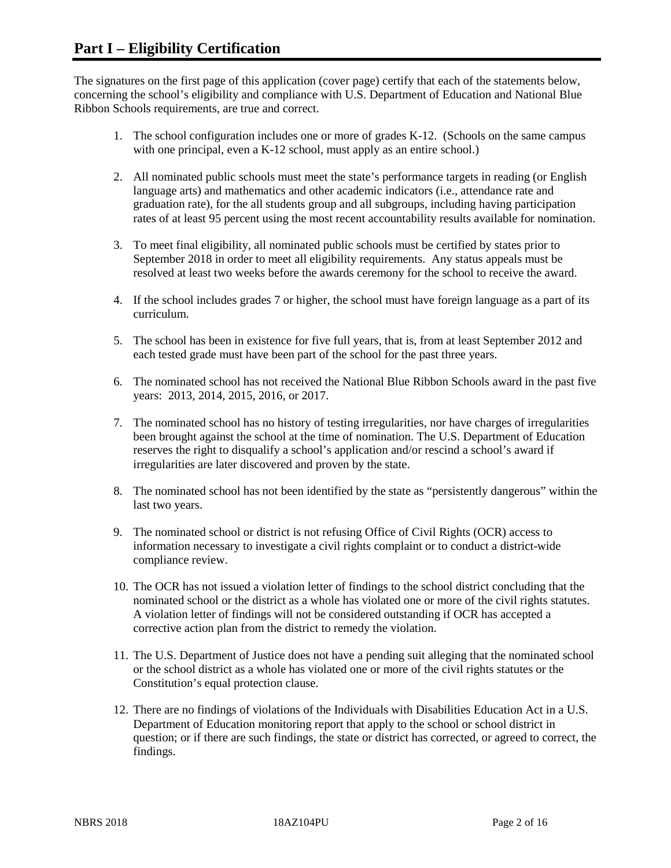The signatures on the first page of this application (cover page) certify that each of the statements below, concerning the school's eligibility and compliance with U.S. Department of Education and National Blue Ribbon Schools requirements, are true and correct.

- 1. The school configuration includes one or more of grades K-12. (Schools on the same campus with one principal, even a K-12 school, must apply as an entire school.)
- 2. All nominated public schools must meet the state's performance targets in reading (or English language arts) and mathematics and other academic indicators (i.e., attendance rate and graduation rate), for the all students group and all subgroups, including having participation rates of at least 95 percent using the most recent accountability results available for nomination.
- 3. To meet final eligibility, all nominated public schools must be certified by states prior to September 2018 in order to meet all eligibility requirements. Any status appeals must be resolved at least two weeks before the awards ceremony for the school to receive the award.
- 4. If the school includes grades 7 or higher, the school must have foreign language as a part of its curriculum.
- 5. The school has been in existence for five full years, that is, from at least September 2012 and each tested grade must have been part of the school for the past three years.
- 6. The nominated school has not received the National Blue Ribbon Schools award in the past five years: 2013, 2014, 2015, 2016, or 2017.
- 7. The nominated school has no history of testing irregularities, nor have charges of irregularities been brought against the school at the time of nomination. The U.S. Department of Education reserves the right to disqualify a school's application and/or rescind a school's award if irregularities are later discovered and proven by the state.
- 8. The nominated school has not been identified by the state as "persistently dangerous" within the last two years.
- 9. The nominated school or district is not refusing Office of Civil Rights (OCR) access to information necessary to investigate a civil rights complaint or to conduct a district-wide compliance review.
- 10. The OCR has not issued a violation letter of findings to the school district concluding that the nominated school or the district as a whole has violated one or more of the civil rights statutes. A violation letter of findings will not be considered outstanding if OCR has accepted a corrective action plan from the district to remedy the violation.
- 11. The U.S. Department of Justice does not have a pending suit alleging that the nominated school or the school district as a whole has violated one or more of the civil rights statutes or the Constitution's equal protection clause.
- 12. There are no findings of violations of the Individuals with Disabilities Education Act in a U.S. Department of Education monitoring report that apply to the school or school district in question; or if there are such findings, the state or district has corrected, or agreed to correct, the findings.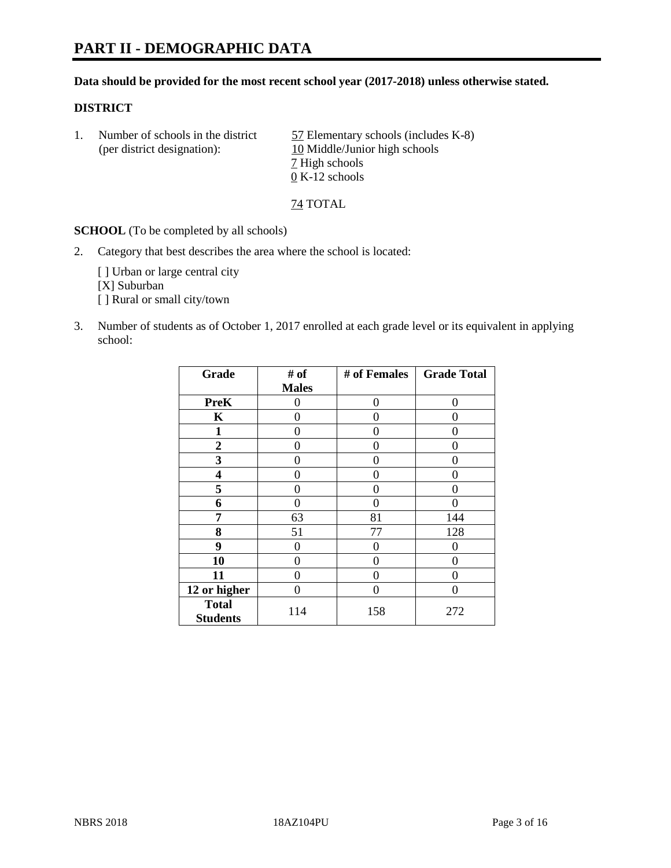# **PART II - DEMOGRAPHIC DATA**

#### **Data should be provided for the most recent school year (2017-2018) unless otherwise stated.**

#### **DISTRICT**

1. Number of schools in the district  $\frac{57}{2}$  Elementary schools (includes K-8) (per district designation): 10 Middle/Junior high schools 7 High schools 0 K-12 schools

74 TOTAL

**SCHOOL** (To be completed by all schools)

2. Category that best describes the area where the school is located:

[] Urban or large central city [X] Suburban [] Rural or small city/town

3. Number of students as of October 1, 2017 enrolled at each grade level or its equivalent in applying school:

| Grade                           | # of         | # of Females | <b>Grade Total</b> |
|---------------------------------|--------------|--------------|--------------------|
|                                 | <b>Males</b> |              |                    |
| <b>PreK</b>                     | 0            | 0            | 0                  |
| K                               | 0            | 0            | 0                  |
| $\mathbf{1}$                    | 0            | 0            | 0                  |
| $\mathbf{2}$                    | 0            | 0            | 0                  |
| 3                               | 0            | 0            | 0                  |
| 4                               | 0            | 0            | 0                  |
| 5                               | 0            | 0            | 0                  |
| 6                               | 0            | 0            |                    |
| 7                               | 63           | 81           | 144                |
| 8                               | 51           | 77           | 128                |
| 9                               | 0            | 0            | O                  |
| 10                              | 0            | 0            | 0                  |
| 11                              | 0            | 0            | 0                  |
| 12 or higher                    | 0            | $\Omega$     | 0                  |
| <b>Total</b><br><b>Students</b> | 114          | 158          | 272                |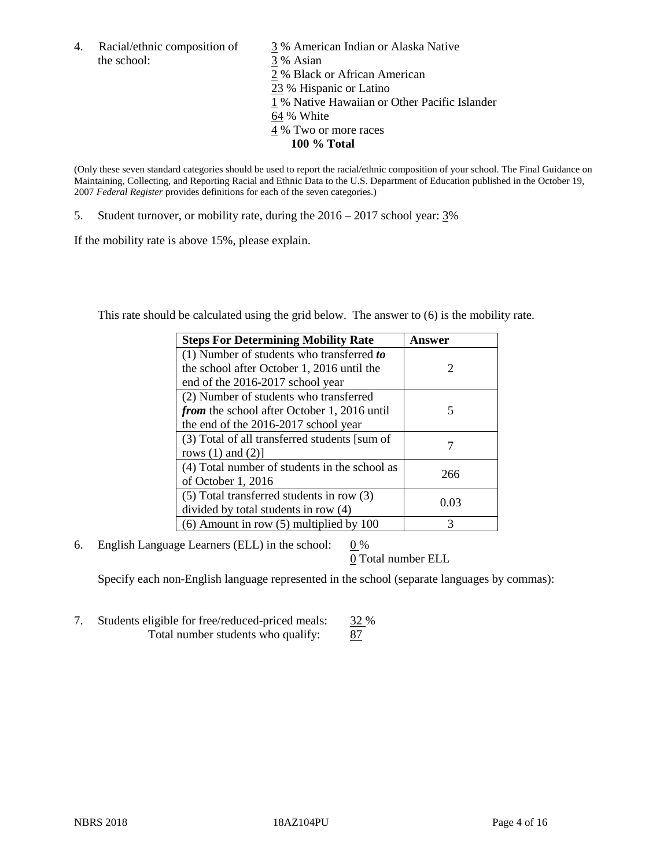the school: 3 % Asian

4. Racial/ethnic composition of  $\frac{3}{9}$ % American Indian or Alaska Native 2 % Black or African American 23 % Hispanic or Latino 1 % Native Hawaiian or Other Pacific Islander 64 % White 4 % Two or more races **100 % Total**

(Only these seven standard categories should be used to report the racial/ethnic composition of your school. The Final Guidance on Maintaining, Collecting, and Reporting Racial and Ethnic Data to the U.S. Department of Education published in the October 19, 2007 *Federal Register* provides definitions for each of the seven categories.)

5. Student turnover, or mobility rate, during the 2016 – 2017 school year: 3%

If the mobility rate is above 15%, please explain.

This rate should be calculated using the grid below. The answer to (6) is the mobility rate.

| <b>Steps For Determining Mobility Rate</b>         | Answer |
|----------------------------------------------------|--------|
| (1) Number of students who transferred to          |        |
| the school after October 1, 2016 until the         | 2      |
| end of the 2016-2017 school year                   |        |
| (2) Number of students who transferred             |        |
| <i>from</i> the school after October 1, 2016 until | 5      |
| the end of the 2016-2017 school year               |        |
| (3) Total of all transferred students [sum of      |        |
| rows $(1)$ and $(2)$ ]                             |        |
| (4) Total number of students in the school as      |        |
| of October 1, 2016                                 | 266    |
| $(5)$ Total transferred students in row $(3)$      |        |
| divided by total students in row (4)               | 0.03   |
| $(6)$ Amount in row $(5)$ multiplied by 100        | 3      |

6. English Language Learners (ELL) in the school:  $0\%$ 

0 Total number ELL

Specify each non-English language represented in the school (separate languages by commas):

7. Students eligible for free/reduced-priced meals: 32 % Total number students who qualify: 87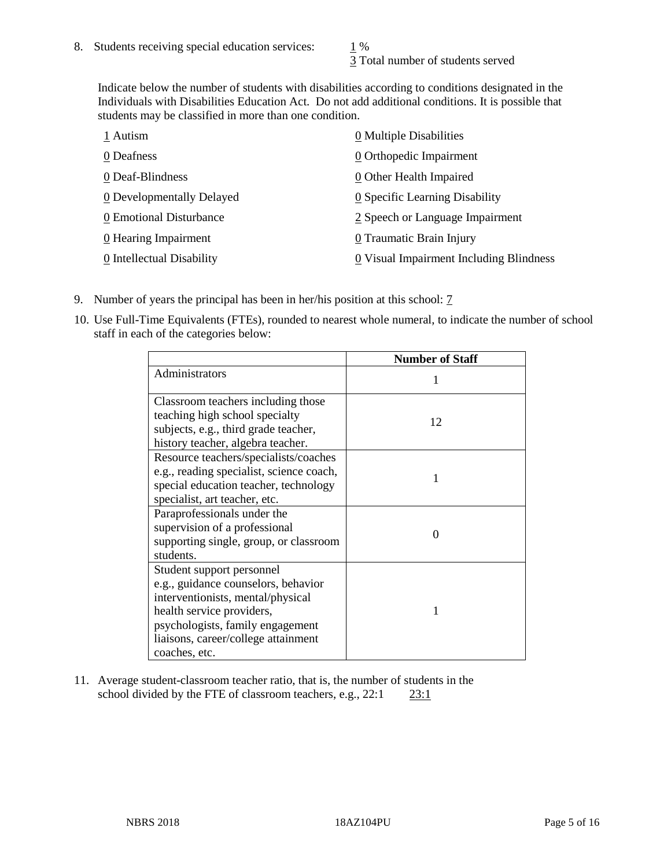3 Total number of students served

Indicate below the number of students with disabilities according to conditions designated in the Individuals with Disabilities Education Act. Do not add additional conditions. It is possible that students may be classified in more than one condition.

| 1 Autism                         | 0 Multiple Disabilities                 |
|----------------------------------|-----------------------------------------|
| 0 Deafness                       | 0 Orthopedic Impairment                 |
| 0 Deaf-Blindness                 | 0 Other Health Impaired                 |
| <b>0</b> Developmentally Delayed | 0 Specific Learning Disability          |
| 0 Emotional Disturbance          | 2 Speech or Language Impairment         |
| 0 Hearing Impairment             | 0 Traumatic Brain Injury                |
| 0 Intellectual Disability        | 0 Visual Impairment Including Blindness |

- 9. Number of years the principal has been in her/his position at this school: 7
- 10. Use Full-Time Equivalents (FTEs), rounded to nearest whole numeral, to indicate the number of school staff in each of the categories below:

|                                                                                                                                                                                                                                | <b>Number of Staff</b> |
|--------------------------------------------------------------------------------------------------------------------------------------------------------------------------------------------------------------------------------|------------------------|
| Administrators                                                                                                                                                                                                                 |                        |
| Classroom teachers including those<br>teaching high school specialty<br>subjects, e.g., third grade teacher,<br>history teacher, algebra teacher.                                                                              | 12                     |
| Resource teachers/specialists/coaches<br>e.g., reading specialist, science coach,<br>special education teacher, technology<br>specialist, art teacher, etc.                                                                    |                        |
| Paraprofessionals under the<br>supervision of a professional<br>supporting single, group, or classroom<br>students.                                                                                                            | $\Omega$               |
| Student support personnel<br>e.g., guidance counselors, behavior<br>interventionists, mental/physical<br>health service providers,<br>psychologists, family engagement<br>liaisons, career/college attainment<br>coaches, etc. |                        |

11. Average student-classroom teacher ratio, that is, the number of students in the school divided by the FTE of classroom teachers, e.g., 22:1 23:1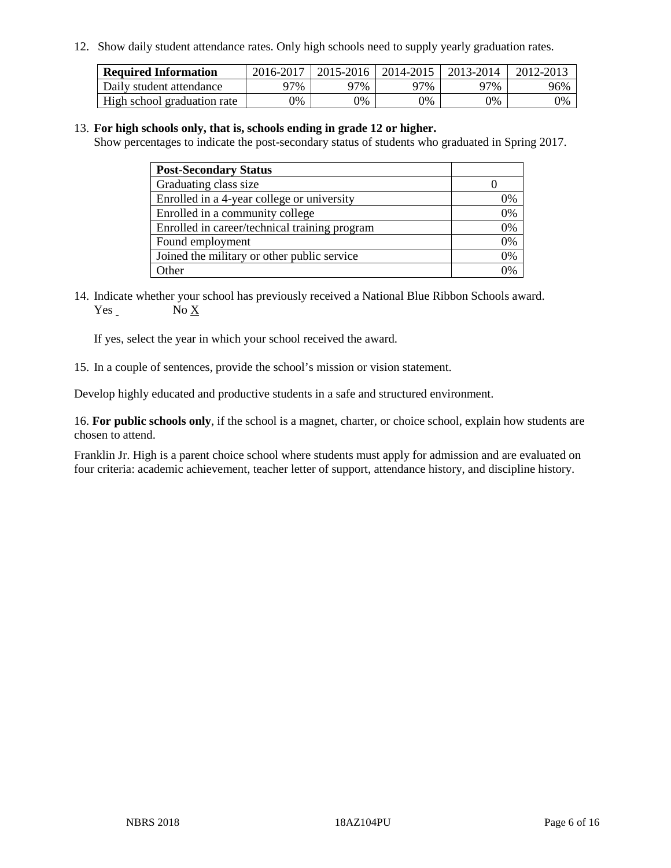12. Show daily student attendance rates. Only high schools need to supply yearly graduation rates.

| <b>Required Information</b> | 2016-2017 | 2015-2016 1 | $12014 - 2015$ | 2013-2014 | 2012-2013 |
|-----------------------------|-----------|-------------|----------------|-----------|-----------|
| Daily student attendance    | 97%       | 97%         | 97%            | ን7%       | 96%       |
| High school graduation rate | 0%        | 0%          | 0%             | 9%        | 0%        |

#### 13. **For high schools only, that is, schools ending in grade 12 or higher.**

Show percentages to indicate the post-secondary status of students who graduated in Spring 2017.

| <b>Post-Secondary Status</b>                  |    |
|-----------------------------------------------|----|
| Graduating class size                         |    |
| Enrolled in a 4-year college or university    | 0% |
| Enrolled in a community college               | 0% |
| Enrolled in career/technical training program | 0% |
| Found employment                              | 0% |
| Joined the military or other public service   | 0% |
| Other                                         | ገ% |

14. Indicate whether your school has previously received a National Blue Ribbon Schools award. Yes No X

If yes, select the year in which your school received the award.

15. In a couple of sentences, provide the school's mission or vision statement.

Develop highly educated and productive students in a safe and structured environment.

16. **For public schools only**, if the school is a magnet, charter, or choice school, explain how students are chosen to attend.

Franklin Jr. High is a parent choice school where students must apply for admission and are evaluated on four criteria: academic achievement, teacher letter of support, attendance history, and discipline history.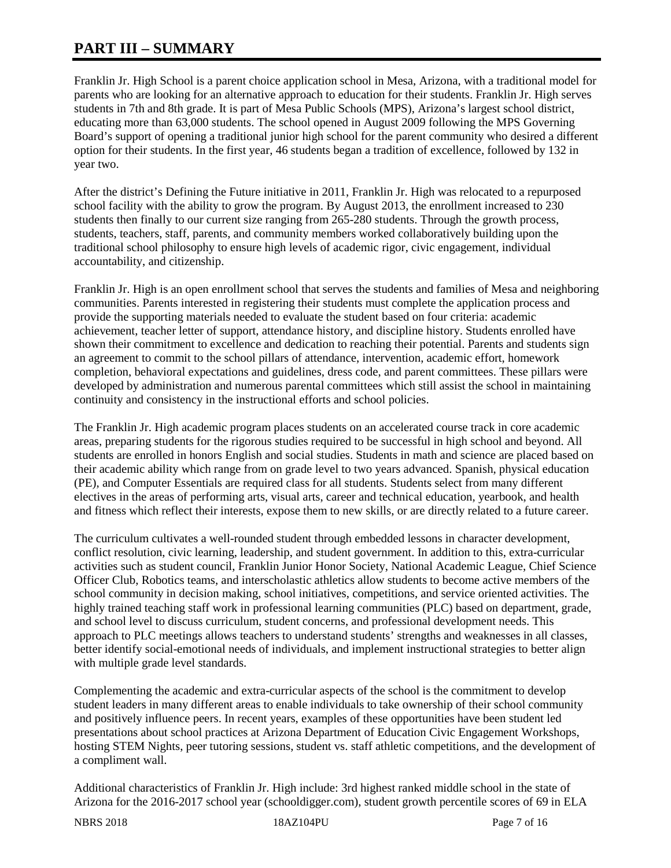# **PART III – SUMMARY**

Franklin Jr. High School is a parent choice application school in Mesa, Arizona, with a traditional model for parents who are looking for an alternative approach to education for their students. Franklin Jr. High serves students in 7th and 8th grade. It is part of Mesa Public Schools (MPS), Arizona's largest school district, educating more than 63,000 students. The school opened in August 2009 following the MPS Governing Board's support of opening a traditional junior high school for the parent community who desired a different option for their students. In the first year, 46 students began a tradition of excellence, followed by 132 in year two.

After the district's Defining the Future initiative in 2011, Franklin Jr. High was relocated to a repurposed school facility with the ability to grow the program. By August 2013, the enrollment increased to 230 students then finally to our current size ranging from 265-280 students. Through the growth process, students, teachers, staff, parents, and community members worked collaboratively building upon the traditional school philosophy to ensure high levels of academic rigor, civic engagement, individual accountability, and citizenship.

Franklin Jr. High is an open enrollment school that serves the students and families of Mesa and neighboring communities. Parents interested in registering their students must complete the application process and provide the supporting materials needed to evaluate the student based on four criteria: academic achievement, teacher letter of support, attendance history, and discipline history. Students enrolled have shown their commitment to excellence and dedication to reaching their potential. Parents and students sign an agreement to commit to the school pillars of attendance, intervention, academic effort, homework completion, behavioral expectations and guidelines, dress code, and parent committees. These pillars were developed by administration and numerous parental committees which still assist the school in maintaining continuity and consistency in the instructional efforts and school policies.

The Franklin Jr. High academic program places students on an accelerated course track in core academic areas, preparing students for the rigorous studies required to be successful in high school and beyond. All students are enrolled in honors English and social studies. Students in math and science are placed based on their academic ability which range from on grade level to two years advanced. Spanish, physical education (PE), and Computer Essentials are required class for all students. Students select from many different electives in the areas of performing arts, visual arts, career and technical education, yearbook, and health and fitness which reflect their interests, expose them to new skills, or are directly related to a future career.

The curriculum cultivates a well-rounded student through embedded lessons in character development, conflict resolution, civic learning, leadership, and student government. In addition to this, extra-curricular activities such as student council, Franklin Junior Honor Society, National Academic League, Chief Science Officer Club, Robotics teams, and interscholastic athletics allow students to become active members of the school community in decision making, school initiatives, competitions, and service oriented activities. The highly trained teaching staff work in professional learning communities (PLC) based on department, grade, and school level to discuss curriculum, student concerns, and professional development needs. This approach to PLC meetings allows teachers to understand students' strengths and weaknesses in all classes, better identify social-emotional needs of individuals, and implement instructional strategies to better align with multiple grade level standards.

Complementing the academic and extra-curricular aspects of the school is the commitment to develop student leaders in many different areas to enable individuals to take ownership of their school community and positively influence peers. In recent years, examples of these opportunities have been student led presentations about school practices at Arizona Department of Education Civic Engagement Workshops, hosting STEM Nights, peer tutoring sessions, student vs. staff athletic competitions, and the development of a compliment wall.

Additional characteristics of Franklin Jr. High include: 3rd highest ranked middle school in the state of Arizona for the 2016-2017 school year (schooldigger.com), student growth percentile scores of 69 in ELA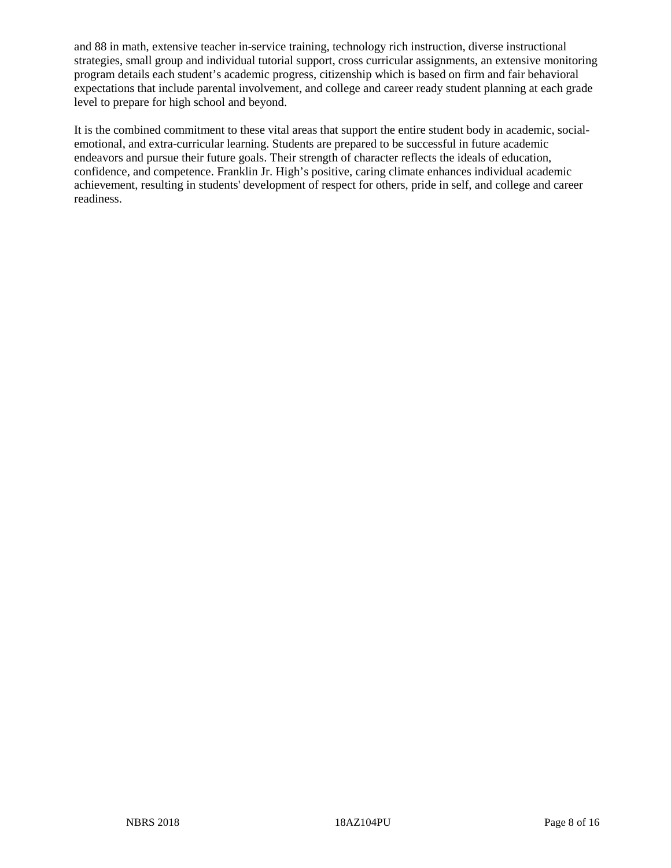and 88 in math, extensive teacher in-service training, technology rich instruction, diverse instructional strategies, small group and individual tutorial support, cross curricular assignments, an extensive monitoring program details each student's academic progress, citizenship which is based on firm and fair behavioral expectations that include parental involvement, and college and career ready student planning at each grade level to prepare for high school and beyond.

It is the combined commitment to these vital areas that support the entire student body in academic, socialemotional, and extra-curricular learning. Students are prepared to be successful in future academic endeavors and pursue their future goals. Their strength of character reflects the ideals of education, confidence, and competence. Franklin Jr. High's positive, caring climate enhances individual academic achievement, resulting in students' development of respect for others, pride in self, and college and career readiness.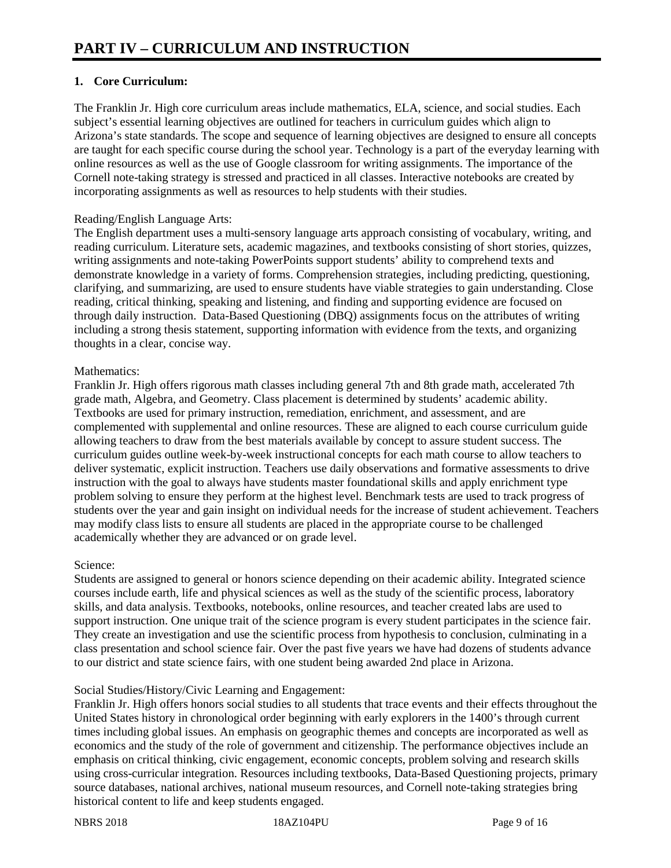# **1. Core Curriculum:**

The Franklin Jr. High core curriculum areas include mathematics, ELA, science, and social studies. Each subject's essential learning objectives are outlined for teachers in curriculum guides which align to Arizona's state standards. The scope and sequence of learning objectives are designed to ensure all concepts are taught for each specific course during the school year. Technology is a part of the everyday learning with online resources as well as the use of Google classroom for writing assignments. The importance of the Cornell note-taking strategy is stressed and practiced in all classes. Interactive notebooks are created by incorporating assignments as well as resources to help students with their studies.

## Reading/English Language Arts:

The English department uses a multi-sensory language arts approach consisting of vocabulary, writing, and reading curriculum. Literature sets, academic magazines, and textbooks consisting of short stories, quizzes, writing assignments and note-taking PowerPoints support students' ability to comprehend texts and demonstrate knowledge in a variety of forms. Comprehension strategies, including predicting, questioning, clarifying, and summarizing, are used to ensure students have viable strategies to gain understanding. Close reading, critical thinking, speaking and listening, and finding and supporting evidence are focused on through daily instruction. Data-Based Questioning (DBQ) assignments focus on the attributes of writing including a strong thesis statement, supporting information with evidence from the texts, and organizing thoughts in a clear, concise way.

## Mathematics:

Franklin Jr. High offers rigorous math classes including general 7th and 8th grade math, accelerated 7th grade math, Algebra, and Geometry. Class placement is determined by students' academic ability. Textbooks are used for primary instruction, remediation, enrichment, and assessment, and are complemented with supplemental and online resources. These are aligned to each course curriculum guide allowing teachers to draw from the best materials available by concept to assure student success. The curriculum guides outline week-by-week instructional concepts for each math course to allow teachers to deliver systematic, explicit instruction. Teachers use daily observations and formative assessments to drive instruction with the goal to always have students master foundational skills and apply enrichment type problem solving to ensure they perform at the highest level. Benchmark tests are used to track progress of students over the year and gain insight on individual needs for the increase of student achievement. Teachers may modify class lists to ensure all students are placed in the appropriate course to be challenged academically whether they are advanced or on grade level.

#### Science:

Students are assigned to general or honors science depending on their academic ability. Integrated science courses include earth, life and physical sciences as well as the study of the scientific process, laboratory skills, and data analysis. Textbooks, notebooks, online resources, and teacher created labs are used to support instruction. One unique trait of the science program is every student participates in the science fair. They create an investigation and use the scientific process from hypothesis to conclusion, culminating in a class presentation and school science fair. Over the past five years we have had dozens of students advance to our district and state science fairs, with one student being awarded 2nd place in Arizona.

# Social Studies/History/Civic Learning and Engagement:

Franklin Jr. High offers honors social studies to all students that trace events and their effects throughout the United States history in chronological order beginning with early explorers in the 1400's through current times including global issues. An emphasis on geographic themes and concepts are incorporated as well as economics and the study of the role of government and citizenship. The performance objectives include an emphasis on critical thinking, civic engagement, economic concepts, problem solving and research skills using cross-curricular integration. Resources including textbooks, Data-Based Questioning projects, primary source databases, national archives, national museum resources, and Cornell note-taking strategies bring historical content to life and keep students engaged.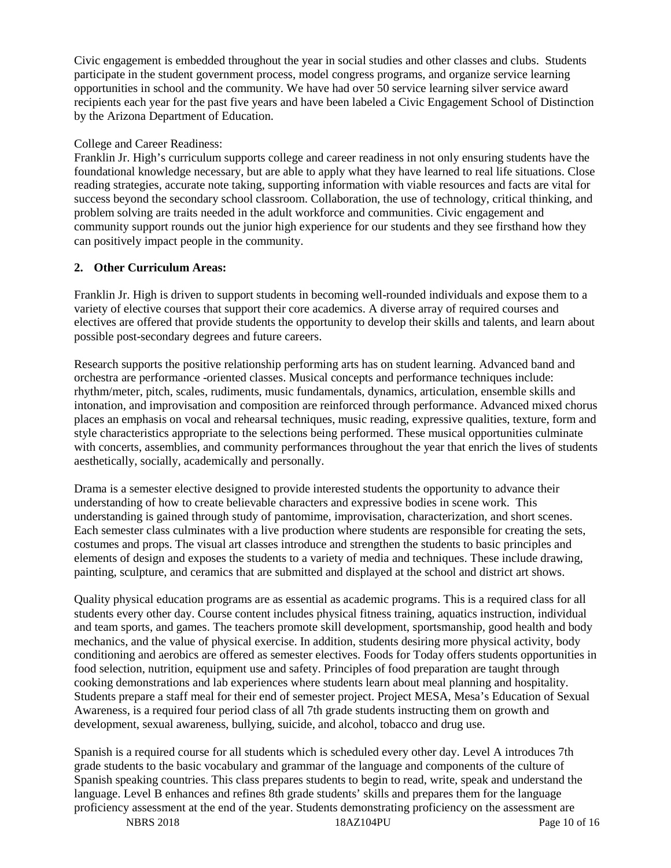Civic engagement is embedded throughout the year in social studies and other classes and clubs. Students participate in the student government process, model congress programs, and organize service learning opportunities in school and the community. We have had over 50 service learning silver service award recipients each year for the past five years and have been labeled a Civic Engagement School of Distinction by the Arizona Department of Education.

## College and Career Readiness:

Franklin Jr. High's curriculum supports college and career readiness in not only ensuring students have the foundational knowledge necessary, but are able to apply what they have learned to real life situations. Close reading strategies, accurate note taking, supporting information with viable resources and facts are vital for success beyond the secondary school classroom. Collaboration, the use of technology, critical thinking, and problem solving are traits needed in the adult workforce and communities. Civic engagement and community support rounds out the junior high experience for our students and they see firsthand how they can positively impact people in the community.

# **2. Other Curriculum Areas:**

Franklin Jr. High is driven to support students in becoming well-rounded individuals and expose them to a variety of elective courses that support their core academics. A diverse array of required courses and electives are offered that provide students the opportunity to develop their skills and talents, and learn about possible post-secondary degrees and future careers.

Research supports the positive relationship performing arts has on student learning. Advanced band and orchestra are performance -oriented classes. Musical concepts and performance techniques include: rhythm/meter, pitch, scales, rudiments, music fundamentals, dynamics, articulation, ensemble skills and intonation, and improvisation and composition are reinforced through performance. Advanced mixed chorus places an emphasis on vocal and rehearsal techniques, music reading, expressive qualities, texture, form and style characteristics appropriate to the selections being performed. These musical opportunities culminate with concerts, assemblies, and community performances throughout the year that enrich the lives of students aesthetically, socially, academically and personally.

Drama is a semester elective designed to provide interested students the opportunity to advance their understanding of how to create believable characters and expressive bodies in scene work. This understanding is gained through study of pantomime, improvisation, characterization, and short scenes. Each semester class culminates with a live production where students are responsible for creating the sets, costumes and props. The visual art classes introduce and strengthen the students to basic principles and elements of design and exposes the students to a variety of media and techniques. These include drawing, painting, sculpture, and ceramics that are submitted and displayed at the school and district art shows.

Quality physical education programs are as essential as academic programs. This is a required class for all students every other day. Course content includes physical fitness training, aquatics instruction, individual and team sports, and games. The teachers promote skill development, sportsmanship, good health and body mechanics, and the value of physical exercise. In addition, students desiring more physical activity, body conditioning and aerobics are offered as semester electives. Foods for Today offers students opportunities in food selection, nutrition, equipment use and safety. Principles of food preparation are taught through cooking demonstrations and lab experiences where students learn about meal planning and hospitality. Students prepare a staff meal for their end of semester project. Project MESA, Mesa's Education of Sexual Awareness, is a required four period class of all 7th grade students instructing them on growth and development, sexual awareness, bullying, suicide, and alcohol, tobacco and drug use.

Spanish is a required course for all students which is scheduled every other day. Level A introduces 7th grade students to the basic vocabulary and grammar of the language and components of the culture of Spanish speaking countries. This class prepares students to begin to read, write, speak and understand the language. Level B enhances and refines 8th grade students' skills and prepares them for the language proficiency assessment at the end of the year. Students demonstrating proficiency on the assessment are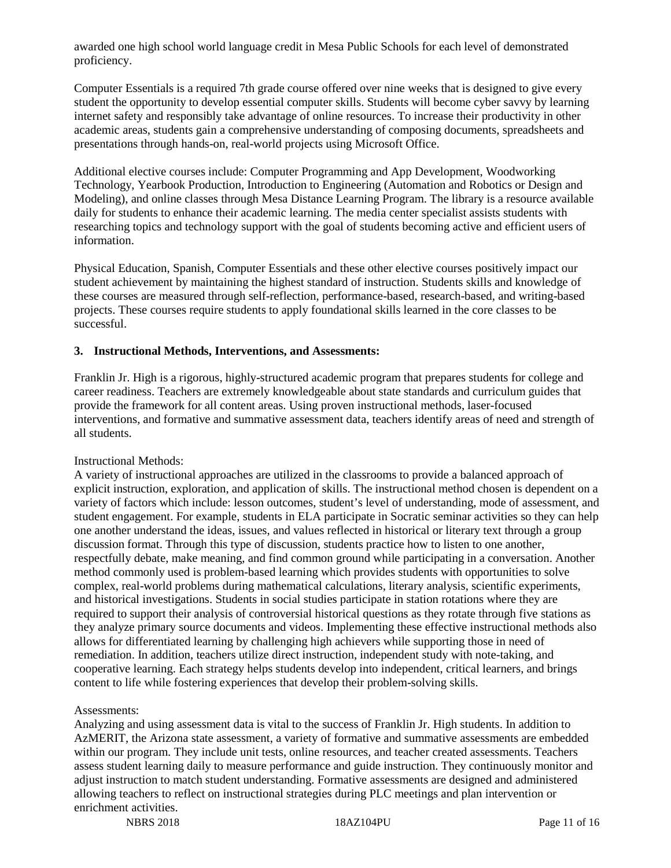awarded one high school world language credit in Mesa Public Schools for each level of demonstrated proficiency.

Computer Essentials is a required 7th grade course offered over nine weeks that is designed to give every student the opportunity to develop essential computer skills. Students will become cyber savvy by learning internet safety and responsibly take advantage of online resources. To increase their productivity in other academic areas, students gain a comprehensive understanding of composing documents, spreadsheets and presentations through hands-on, real-world projects using Microsoft Office.

Additional elective courses include: Computer Programming and App Development, Woodworking Technology, Yearbook Production, Introduction to Engineering (Automation and Robotics or Design and Modeling), and online classes through Mesa Distance Learning Program. The library is a resource available daily for students to enhance their academic learning. The media center specialist assists students with researching topics and technology support with the goal of students becoming active and efficient users of information.

Physical Education, Spanish, Computer Essentials and these other elective courses positively impact our student achievement by maintaining the highest standard of instruction. Students skills and knowledge of these courses are measured through self-reflection, performance-based, research-based, and writing-based projects. These courses require students to apply foundational skills learned in the core classes to be successful.

#### **3. Instructional Methods, Interventions, and Assessments:**

Franklin Jr. High is a rigorous, highly-structured academic program that prepares students for college and career readiness. Teachers are extremely knowledgeable about state standards and curriculum guides that provide the framework for all content areas. Using proven instructional methods, laser-focused interventions, and formative and summative assessment data, teachers identify areas of need and strength of all students.

#### Instructional Methods:

A variety of instructional approaches are utilized in the classrooms to provide a balanced approach of explicit instruction, exploration, and application of skills. The instructional method chosen is dependent on a variety of factors which include: lesson outcomes, student's level of understanding, mode of assessment, and student engagement. For example, students in ELA participate in Socratic seminar activities so they can help one another understand the ideas, issues, and values reflected in historical or literary text through a group discussion format. Through this type of discussion, students practice how to listen to one another, respectfully debate, make meaning, and find common ground while participating in a conversation. Another method commonly used is problem-based learning which provides students with opportunities to solve complex, real-world problems during mathematical calculations, literary analysis, scientific experiments, and historical investigations. Students in social studies participate in station rotations where they are required to support their analysis of controversial historical questions as they rotate through five stations as they analyze primary source documents and videos. Implementing these effective instructional methods also allows for differentiated learning by challenging high achievers while supporting those in need of remediation. In addition, teachers utilize direct instruction, independent study with note-taking, and cooperative learning. Each strategy helps students develop into independent, critical learners, and brings content to life while fostering experiences that develop their problem-solving skills.

#### Assessments:

Analyzing and using assessment data is vital to the success of Franklin Jr. High students. In addition to AzMERIT, the Arizona state assessment, a variety of formative and summative assessments are embedded within our program. They include unit tests, online resources, and teacher created assessments. Teachers assess student learning daily to measure performance and guide instruction. They continuously monitor and adjust instruction to match student understanding. Formative assessments are designed and administered allowing teachers to reflect on instructional strategies during PLC meetings and plan intervention or enrichment activities.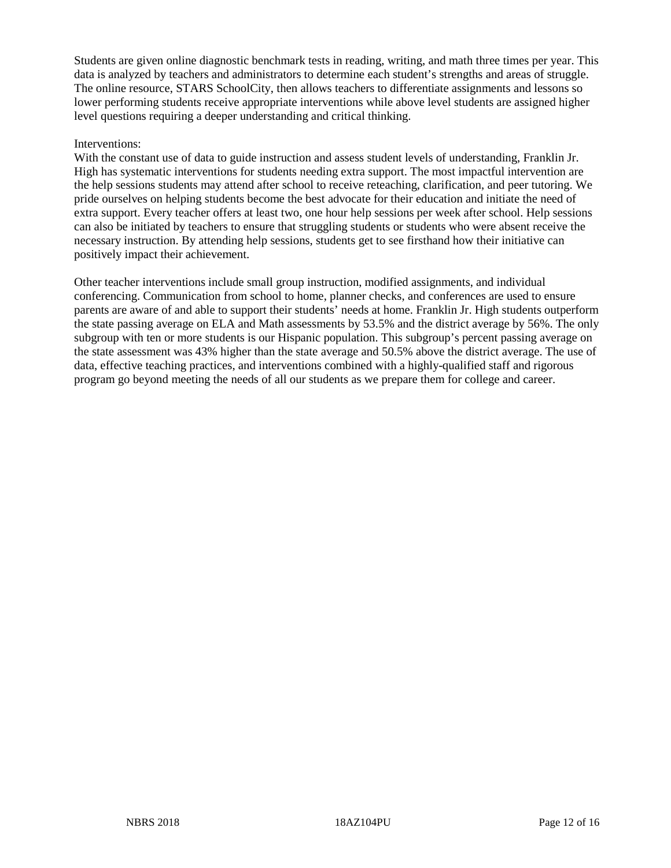Students are given online diagnostic benchmark tests in reading, writing, and math three times per year. This data is analyzed by teachers and administrators to determine each student's strengths and areas of struggle. The online resource, STARS SchoolCity, then allows teachers to differentiate assignments and lessons so lower performing students receive appropriate interventions while above level students are assigned higher level questions requiring a deeper understanding and critical thinking.

#### Interventions:

With the constant use of data to guide instruction and assess student levels of understanding, Franklin Jr. High has systematic interventions for students needing extra support. The most impactful intervention are the help sessions students may attend after school to receive reteaching, clarification, and peer tutoring. We pride ourselves on helping students become the best advocate for their education and initiate the need of extra support. Every teacher offers at least two, one hour help sessions per week after school. Help sessions can also be initiated by teachers to ensure that struggling students or students who were absent receive the necessary instruction. By attending help sessions, students get to see firsthand how their initiative can positively impact their achievement.

Other teacher interventions include small group instruction, modified assignments, and individual conferencing. Communication from school to home, planner checks, and conferences are used to ensure parents are aware of and able to support their students' needs at home. Franklin Jr. High students outperform the state passing average on ELA and Math assessments by 53.5% and the district average by 56%. The only subgroup with ten or more students is our Hispanic population. This subgroup's percent passing average on the state assessment was 43% higher than the state average and 50.5% above the district average. The use of data, effective teaching practices, and interventions combined with a highly-qualified staff and rigorous program go beyond meeting the needs of all our students as we prepare them for college and career.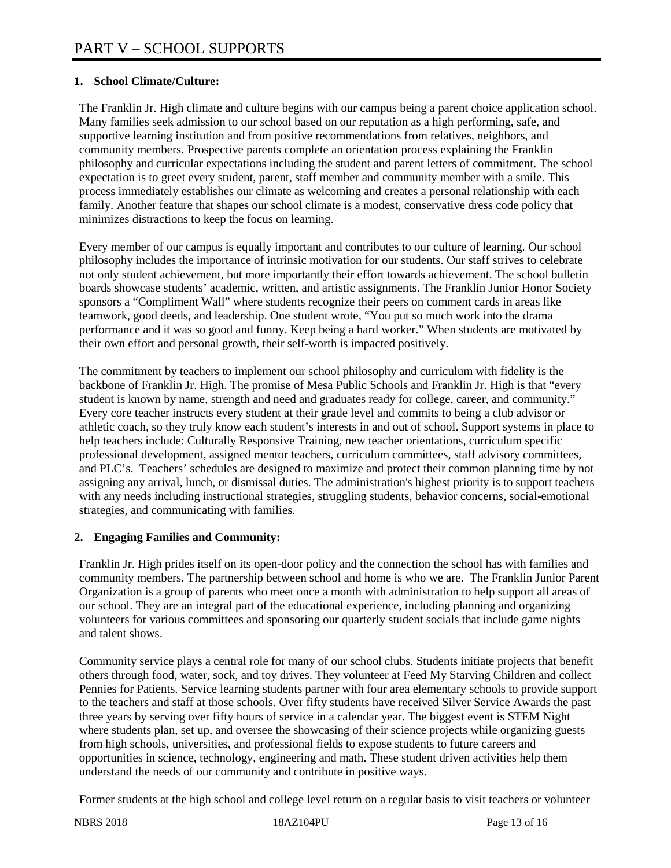# **1. School Climate/Culture:**

The Franklin Jr. High climate and culture begins with our campus being a parent choice application school. Many families seek admission to our school based on our reputation as a high performing, safe, and supportive learning institution and from positive recommendations from relatives, neighbors, and community members. Prospective parents complete an orientation process explaining the Franklin philosophy and curricular expectations including the student and parent letters of commitment. The school expectation is to greet every student, parent, staff member and community member with a smile. This process immediately establishes our climate as welcoming and creates a personal relationship with each family. Another feature that shapes our school climate is a modest, conservative dress code policy that minimizes distractions to keep the focus on learning.

Every member of our campus is equally important and contributes to our culture of learning. Our school philosophy includes the importance of intrinsic motivation for our students. Our staff strives to celebrate not only student achievement, but more importantly their effort towards achievement. The school bulletin boards showcase students' academic, written, and artistic assignments. The Franklin Junior Honor Society sponsors a "Compliment Wall" where students recognize their peers on comment cards in areas like teamwork, good deeds, and leadership. One student wrote, "You put so much work into the drama performance and it was so good and funny. Keep being a hard worker." When students are motivated by their own effort and personal growth, their self-worth is impacted positively.

The commitment by teachers to implement our school philosophy and curriculum with fidelity is the backbone of Franklin Jr. High. The promise of Mesa Public Schools and Franklin Jr. High is that "every student is known by name, strength and need and graduates ready for college, career, and community." Every core teacher instructs every student at their grade level and commits to being a club advisor or athletic coach, so they truly know each student's interests in and out of school. Support systems in place to help teachers include: Culturally Responsive Training, new teacher orientations, curriculum specific professional development, assigned mentor teachers, curriculum committees, staff advisory committees, and PLC's. Teachers' schedules are designed to maximize and protect their common planning time by not assigning any arrival, lunch, or dismissal duties. The administration's highest priority is to support teachers with any needs including instructional strategies, struggling students, behavior concerns, social-emotional strategies, and communicating with families.

#### **2. Engaging Families and Community:**

Franklin Jr. High prides itself on its open-door policy and the connection the school has with families and community members. The partnership between school and home is who we are. The Franklin Junior Parent Organization is a group of parents who meet once a month with administration to help support all areas of our school. They are an integral part of the educational experience, including planning and organizing volunteers for various committees and sponsoring our quarterly student socials that include game nights and talent shows.

Community service plays a central role for many of our school clubs. Students initiate projects that benefit others through food, water, sock, and toy drives. They volunteer at Feed My Starving Children and collect Pennies for Patients. Service learning students partner with four area elementary schools to provide support to the teachers and staff at those schools. Over fifty students have received Silver Service Awards the past three years by serving over fifty hours of service in a calendar year. The biggest event is STEM Night where students plan, set up, and oversee the showcasing of their science projects while organizing guests from high schools, universities, and professional fields to expose students to future careers and opportunities in science, technology, engineering and math. These student driven activities help them understand the needs of our community and contribute in positive ways.

Former students at the high school and college level return on a regular basis to visit teachers or volunteer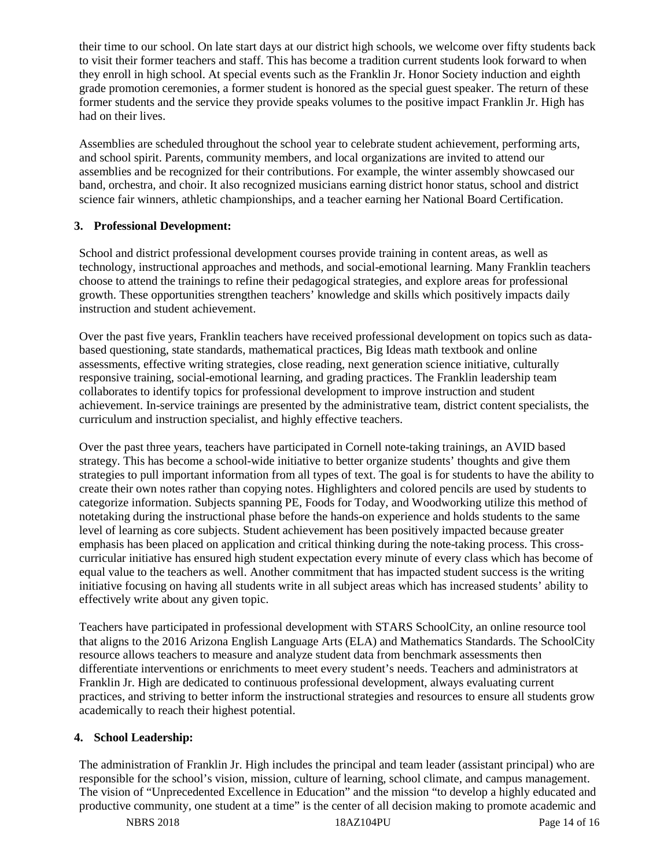their time to our school. On late start days at our district high schools, we welcome over fifty students back to visit their former teachers and staff. This has become a tradition current students look forward to when they enroll in high school. At special events such as the Franklin Jr. Honor Society induction and eighth grade promotion ceremonies, a former student is honored as the special guest speaker. The return of these former students and the service they provide speaks volumes to the positive impact Franklin Jr. High has had on their lives.

Assemblies are scheduled throughout the school year to celebrate student achievement, performing arts, and school spirit. Parents, community members, and local organizations are invited to attend our assemblies and be recognized for their contributions. For example, the winter assembly showcased our band, orchestra, and choir. It also recognized musicians earning district honor status, school and district science fair winners, athletic championships, and a teacher earning her National Board Certification.

# **3. Professional Development:**

School and district professional development courses provide training in content areas, as well as technology, instructional approaches and methods, and social-emotional learning. Many Franklin teachers choose to attend the trainings to refine their pedagogical strategies, and explore areas for professional growth. These opportunities strengthen teachers' knowledge and skills which positively impacts daily instruction and student achievement.

Over the past five years, Franklin teachers have received professional development on topics such as databased questioning, state standards, mathematical practices, Big Ideas math textbook and online assessments, effective writing strategies, close reading, next generation science initiative, culturally responsive training, social-emotional learning, and grading practices. The Franklin leadership team collaborates to identify topics for professional development to improve instruction and student achievement. In-service trainings are presented by the administrative team, district content specialists, the curriculum and instruction specialist, and highly effective teachers.

Over the past three years, teachers have participated in Cornell note-taking trainings, an AVID based strategy. This has become a school-wide initiative to better organize students' thoughts and give them strategies to pull important information from all types of text. The goal is for students to have the ability to create their own notes rather than copying notes. Highlighters and colored pencils are used by students to categorize information. Subjects spanning PE, Foods for Today, and Woodworking utilize this method of notetaking during the instructional phase before the hands-on experience and holds students to the same level of learning as core subjects. Student achievement has been positively impacted because greater emphasis has been placed on application and critical thinking during the note-taking process. This crosscurricular initiative has ensured high student expectation every minute of every class which has become of equal value to the teachers as well. Another commitment that has impacted student success is the writing initiative focusing on having all students write in all subject areas which has increased students' ability to effectively write about any given topic.

Teachers have participated in professional development with STARS SchoolCity, an online resource tool that aligns to the 2016 Arizona English Language Arts (ELA) and Mathematics Standards. The SchoolCity resource allows teachers to measure and analyze student data from benchmark assessments then differentiate interventions or enrichments to meet every student's needs. Teachers and administrators at Franklin Jr. High are dedicated to continuous professional development, always evaluating current practices, and striving to better inform the instructional strategies and resources to ensure all students grow academically to reach their highest potential.

#### **4. School Leadership:**

The administration of Franklin Jr. High includes the principal and team leader (assistant principal) who are responsible for the school's vision, mission, culture of learning, school climate, and campus management. The vision of "Unprecedented Excellence in Education" and the mission "to develop a highly educated and productive community, one student at a time" is the center of all decision making to promote academic and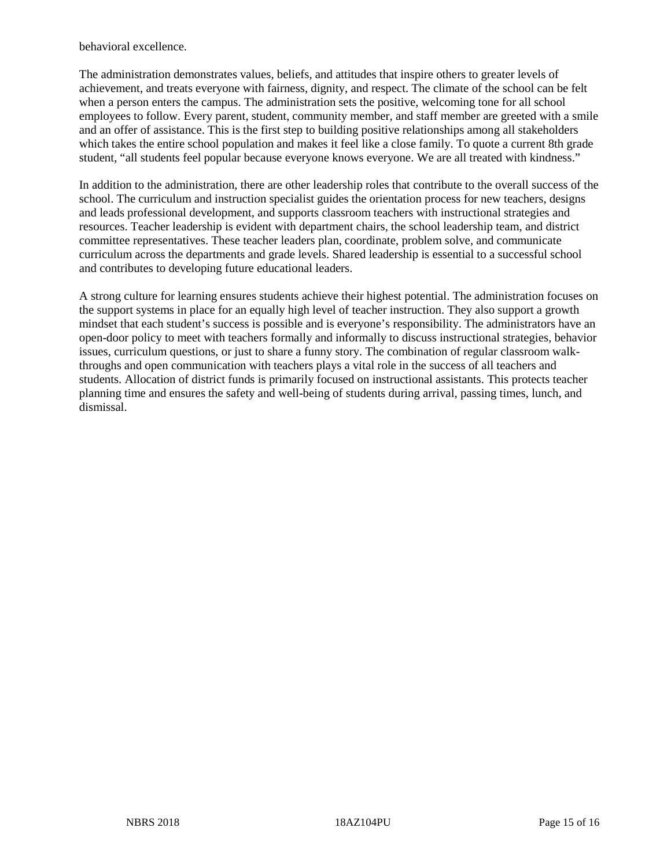behavioral excellence.

The administration demonstrates values, beliefs, and attitudes that inspire others to greater levels of achievement, and treats everyone with fairness, dignity, and respect. The climate of the school can be felt when a person enters the campus. The administration sets the positive, welcoming tone for all school employees to follow. Every parent, student, community member, and staff member are greeted with a smile and an offer of assistance. This is the first step to building positive relationships among all stakeholders which takes the entire school population and makes it feel like a close family. To quote a current 8th grade student, "all students feel popular because everyone knows everyone. We are all treated with kindness."

In addition to the administration, there are other leadership roles that contribute to the overall success of the school. The curriculum and instruction specialist guides the orientation process for new teachers, designs and leads professional development, and supports classroom teachers with instructional strategies and resources. Teacher leadership is evident with department chairs, the school leadership team, and district committee representatives. These teacher leaders plan, coordinate, problem solve, and communicate curriculum across the departments and grade levels. Shared leadership is essential to a successful school and contributes to developing future educational leaders.

A strong culture for learning ensures students achieve their highest potential. The administration focuses on the support systems in place for an equally high level of teacher instruction. They also support a growth mindset that each student's success is possible and is everyone's responsibility. The administrators have an open-door policy to meet with teachers formally and informally to discuss instructional strategies, behavior issues, curriculum questions, or just to share a funny story. The combination of regular classroom walkthroughs and open communication with teachers plays a vital role in the success of all teachers and students. Allocation of district funds is primarily focused on instructional assistants. This protects teacher planning time and ensures the safety and well-being of students during arrival, passing times, lunch, and dismissal.